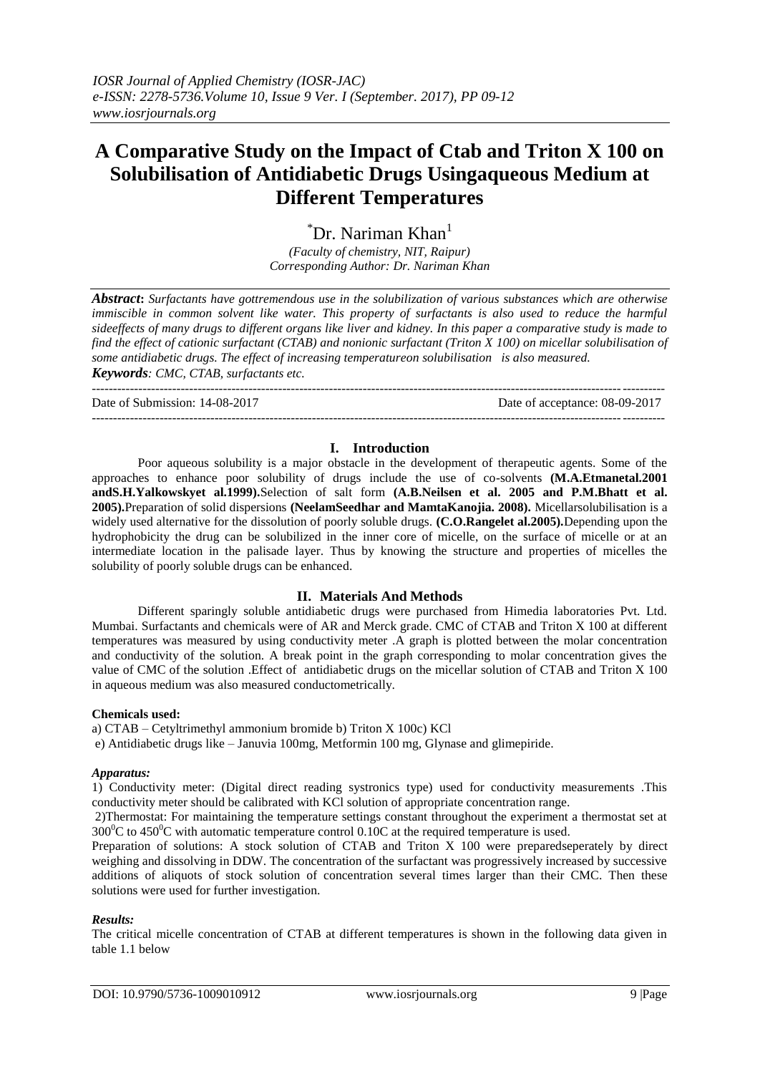# **A Comparative Study on the Impact of Ctab and Triton X 100 on Solubilisation of Antidiabetic Drugs Usingaqueous Medium at Different Temperatures**

 $\mathrm{L}^*$ Dr. Nariman Khan $\mathrm{L}$ 

*(Faculty of chemistry, NIT, Raipur) Corresponding Author: Dr. Nariman Khan*

*Abstract***:** *Surfactants have gottremendous use in the solubilization of various substances which are otherwise immiscible in common solvent like water. This property of surfactants is also used to reduce the harmful sideeffects of many drugs to different organs like liver and kidney. In this paper a comparative study is made to find the effect of cationic surfactant (CTAB) and nonionic surfactant (Triton X 100) on micellar solubilisation of some antidiabetic drugs. The effect of increasing temperatureon solubilisation is also measured.*

*Keywords: CMC, CTAB, surfactants etc.*

--------------------------------------------------------------------------------------------------------------------------------------- Date of Submission: 14-08-2017 Date of acceptance: 08-09-2017

### **I. Introduction**

---------------------------------------------------------------------------------------------------------------------------------------

Poor aqueous solubility is a major obstacle in the development of therapeutic agents. Some of the approaches to enhance poor solubility of drugs include the use of co-solvents **(M.A.Etmanetal.2001 andS.H.Yalkowskyet al.1999).**Selection of salt form **(A.B.Neilsen et al. 2005 and P.M.Bhatt et al. 2005).**Preparation of solid dispersions **(NeelamSeedhar and MamtaKanojia. 2008).** Micellarsolubilisation is a widely used alternative for the dissolution of poorly soluble drugs. **(C.O.Rangelet al.2005).**Depending upon the hydrophobicity the drug can be solubilized in the inner core of micelle, on the surface of micelle or at an intermediate location in the palisade layer. Thus by knowing the structure and properties of micelles the solubility of poorly soluble drugs can be enhanced.

## **II. Materials And Methods**

Different sparingly soluble antidiabetic drugs were purchased from Himedia laboratories Pvt. Ltd. Mumbai. Surfactants and chemicals were of AR and Merck grade. CMC of CTAB and Triton X 100 at different temperatures was measured by using conductivity meter .A graph is plotted between the molar concentration and conductivity of the solution. A break point in the graph corresponding to molar concentration gives the value of CMC of the solution .Effect of antidiabetic drugs on the micellar solution of CTAB and Triton X 100 in aqueous medium was also measured conductometrically.

#### **Chemicals used:**

a) CTAB – Cetyltrimethyl ammonium bromide b) Triton X 100c) KCl

e) Antidiabetic drugs like – Januvia 100mg, Metformin 100 mg, Glynase and glimepiride.

#### *Apparatus:*

1) Conductivity meter: (Digital direct reading systronics type) used for conductivity measurements .This conductivity meter should be calibrated with KCl solution of appropriate concentration range.

2)Thermostat: For maintaining the temperature settings constant throughout the experiment a thermostat set at  $300^0C$  to  $450^0C$  with automatic temperature control 0.10C at the required temperature is used.

Preparation of solutions: A stock solution of CTAB and Triton X 100 were preparedseperately by direct weighing and dissolving in DDW. The concentration of the surfactant was progressively increased by successive additions of aliquots of stock solution of concentration several times larger than their CMC. Then these solutions were used for further investigation.

## *Results:*

The critical micelle concentration of CTAB at different temperatures is shown in the following data given in table 1.1 below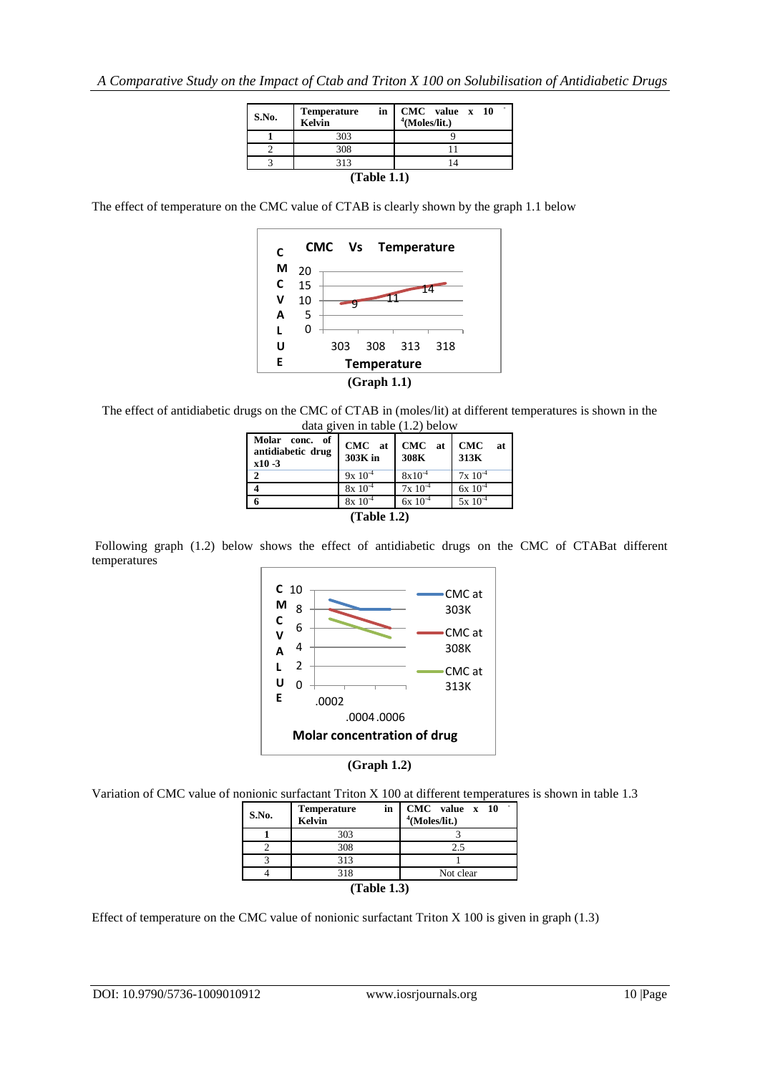| S.No.       | <b>Temperature</b><br><b>Kelvin</b> | in CMC value x 10<br>$4$ (Moles/lit.) |  |  |  |  |
|-------------|-------------------------------------|---------------------------------------|--|--|--|--|
|             | 303                                 |                                       |  |  |  |  |
|             | 308                                 |                                       |  |  |  |  |
|             | 313                                 |                                       |  |  |  |  |
| (Table 1.1) |                                     |                                       |  |  |  |  |

The effect of temperature on the CMC value of CTAB is clearly shown by the graph 1.1 below



The effect of antidiabetic drugs on the CMC of CTAB in (moles/lit) at different temperatures is shown in the data given in table (1.2) below

| Molar<br>of<br>conc.<br>antidiabetic drug<br>$x10 - 3$ | CMC at<br>303K in | CMC at<br>308K | <b>CMC</b><br>at<br>313K |  |  |  |
|--------------------------------------------------------|-------------------|----------------|--------------------------|--|--|--|
|                                                        | $9x 10^{-4}$      | $8x10^{-4}$    | $7x 10^{-4}$             |  |  |  |
|                                                        | $8x\ 10^{-4}$     | $7x 10^{-4}$   | $6x\ 10^{-4}$            |  |  |  |
|                                                        | $8x\ 10^{-4}$     | $6x\ 10^{-4}$  | $5x 10^{-4}$             |  |  |  |
| (Table 1.2)                                            |                   |                |                          |  |  |  |

Following graph (1.2) below shows the effect of antidiabetic drugs on the CMC of CTABat different temperatures





Variation of CMC value of nonionic surfactant Triton X 100 at different temperatures is shown in table 1.3

| S.No.       | in<br><b>Temperature</b><br>Kelvin | CMC value x 10<br>$4$ (Moles/lit.) |  |  |
|-------------|------------------------------------|------------------------------------|--|--|
|             | 303                                |                                    |  |  |
|             | 308                                | 2.5                                |  |  |
|             | 313                                |                                    |  |  |
|             | 318                                | Not clear                          |  |  |
| (Table 1.3) |                                    |                                    |  |  |

Effect of temperature on the CMC value of nonionic surfactant Triton X 100 is given in graph (1.3)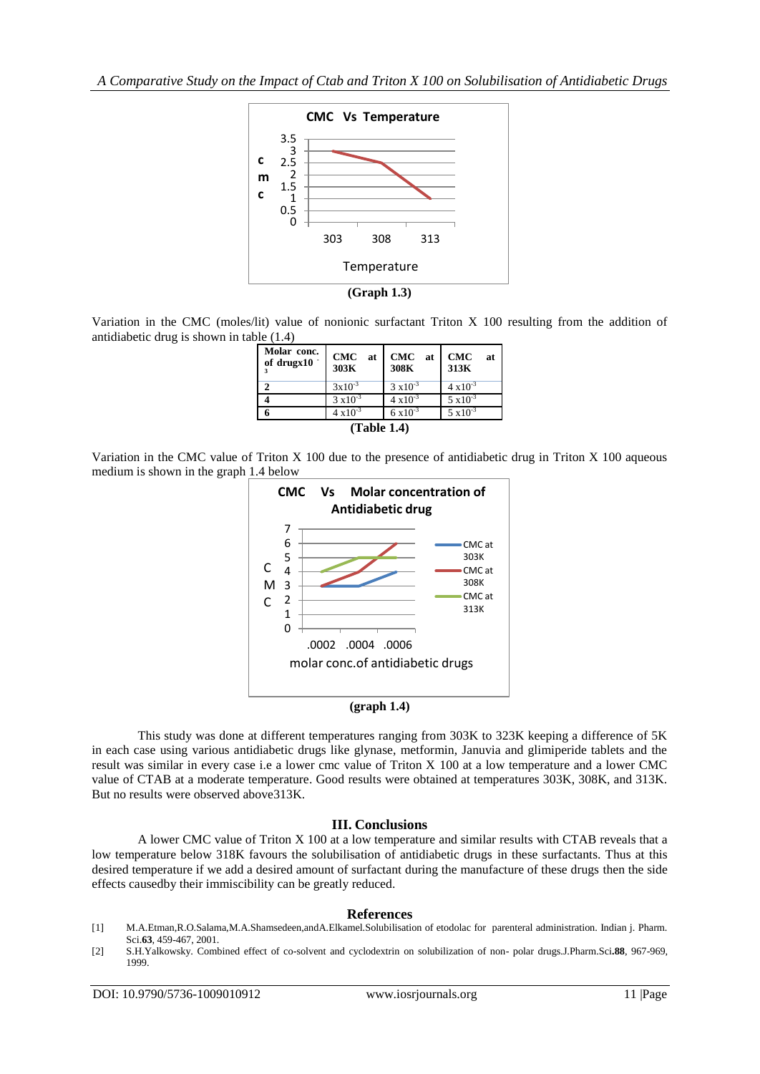*A Comparative Study on the Impact of Ctab and Triton X 100 on Solubilisation of Antidiabetic Drugs* 



**(Graph 1.3)**

Variation in the CMC (moles/lit) value of nonionic surfactant Triton X 100 resulting from the addition of antidiabetic drug is shown in table (1.4)

| Molar conc.<br>of drugx $10^{-7}$ | CMC at<br>303K     | CMC at<br>308K     | <b>CMC</b><br>at<br>313K |  |  |  |
|-----------------------------------|--------------------|--------------------|--------------------------|--|--|--|
|                                   | $3x10^{-3}$        | $3 \times 10^{-3}$ | $4 \times 10^{-3}$       |  |  |  |
|                                   | $3 \times 10^{-3}$ | $4 \times 10^{-3}$ | $5 \times 10^{-3}$       |  |  |  |
|                                   | $4 \times 10^{-3}$ | $6 \times 10^{-3}$ | $5 \times 10^{-3}$       |  |  |  |
| (Table 1.4)                       |                    |                    |                          |  |  |  |

Variation in the CMC value of Triton X 100 due to the presence of antidiabetic drug in Triton X 100 aqueous medium is shown in the graph 1.4 below





This study was done at different temperatures ranging from 303K to 323K keeping a difference of 5K in each case using various antidiabetic drugs like glynase, metformin, Januvia and glimiperide tablets and the result was similar in every case i.e a lower cmc value of Triton X 100 at a low temperature and a lower CMC value of CTAB at a moderate temperature. Good results were obtained at temperatures 303K, 308K, and 313K. But no results were observed above313K.

#### **III. Conclusions**

A lower CMC value of Triton X 100 at a low temperature and similar results with CTAB reveals that a low temperature below 318K favours the solubilisation of antidiabetic drugs in these surfactants. Thus at this desired temperature if we add a desired amount of surfactant during the manufacture of these drugs then the side effects causedby their immiscibility can be greatly reduced.

#### **References**

- [1] M.A.Etman,R.O.Salama,M.A.Shamsedeen,andA.Elkamel.Solubilisation of etodolac for parenteral administration. Indian j. Pharm. Sci.**63**, 459-467, 2001.
- [2] S.H.Yalkowsky. Combined effect of co-solvent and cyclodextrin on solubilization of non- polar drugs.J.Pharm.Sci**.88**, 967-969, 1999.